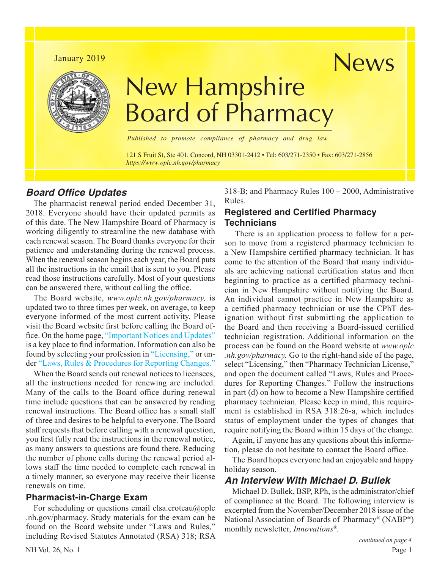# January 2019 News



# New Hampshire Board of Pharmacy

*Published to promote compliance of pharmacy and drug law*

121 S Fruit St, Ste 401, Concord, NH 03301-2412 • Tel: 603/271-2350 • Fax: 603/271-2856 *https://www.oplc.nh.gov/pharmacy*

#### *Board Office Updates*

The pharmacist renewal period ended December 31, 2018. Everyone should have their updated permits as of this date. The New Hampshire Board of Pharmacy is working diligently to streamline the new database with each renewal season. The Board thanks everyone for their patience and understanding during the renewal process. When the renewal season begins each year, the Board puts all the instructions in the email that is sent to you. Please read those instructions carefully. Most of your questions can be answered there, without calling the office.

The Board website, *[www.oplc.nh.gov/pharmacy,](www.oplc.nh.gov/pharmacy)* is updated two to three times per week, on average, to keep everyone informed of the most current activity. Please visit the Board website first before calling the Board office. On the home page, ["Important Notices and Updates"](https://www.oplc.nh.gov/pharmacy/board-messages.htm) is a key place to find information. Information can also be found by selecting your profession in ["Licensing,"](https://www.oplc.nh.gov/pharmacy/licensing.htm) or under ["Laws, Rules & Procedures for Reporting Changes."](https://www.oplc.nh.gov/pharmacy/report-changes.htm)

When the Board sends out renewal notices to licensees, all the instructions needed for renewing are included. Many of the calls to the Board office during renewal time include questions that can be answered by reading renewal instructions. The Board office has a small staff of three and desires to be helpful to everyone. The Board staff requests that before calling with a renewal question, you first fully read the instructions in the renewal notice, as many answers to questions are found there. Reducing the number of phone calls during the renewal period allows staff the time needed to complete each renewal in a timely manner, so everyone may receive their license renewals on time.

#### **Pharmacist-in-Charge Exam**

For scheduling or questions email elsa.croteau@oplc .nh.gov/pharmacy. Study materials for the exam can be found on the Board website under "Laws and Rules," including Revised Statutes Annotated (RSA) 318; RSA 318-B; and Pharmacy Rules 100 – 2000, Administrative Rules.

#### **Registered and Certified Pharmacy Technicians**

 There is an application process to follow for a person to move from a registered pharmacy technician to a New Hampshire certified pharmacy technician. It has come to the attention of the Board that many individuals are achieving national certification status and then beginning to practice as a certified pharmacy technician in New Hampshire without notifying the Board. An individual cannot practice in New Hampshire as a certified pharmacy technician or use the CPhT designation without first submitting the application to the Board and then receiving a Board-issued certified technician registration. Additional information on the process can be found on the Board website at *[www.oplc](www.oplc.nh.gov/pharmacy) [.nh.gov/pharmacy.](www.oplc.nh.gov/pharmacy)* Go to the right-hand side of the page, select "Licensing," then "Pharmacy Technician License," and open the document called "Laws, Rules and Procedures for Reporting Changes." Follow the instructions in part (d) on how to become a New Hampshire certified pharmacy technician. Please keep in mind, this requirement is established in RSA 318:26-a, which includes status of employment under the types of changes that require notifying the Board within 15 days of the change.

Again, if anyone has any questions about this information, please do not hesitate to contact the Board office.

The Board hopes everyone had an enjoyable and happy holiday season.

### *An Interview With Michael D. Bullek*

Michael D. Bullek, BSP, RPh, is the administrator/chief of compliance at the Board. The following interview is excerpted from the November/December 2018 issue of the National Association of Boards of Pharmacy® (NABP®) monthly newsletter, *Innovations®.*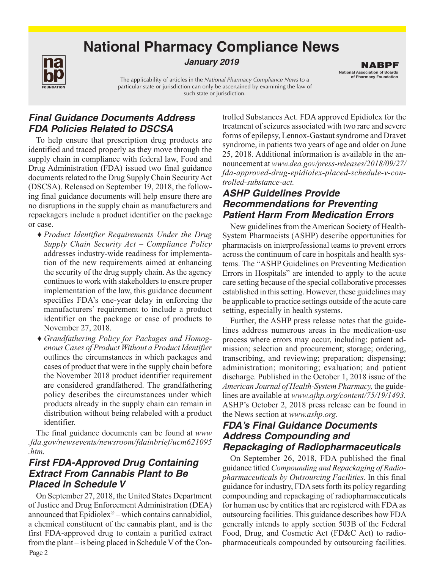# **National Pharmacy Compliance News**



*January 2019*

The applicability of articles in the *National Pharmacy Compliance News* to a particular state or jurisdiction can only be ascertained by examining the law of such state or jurisdiction.

# *Final Guidance Documents Address FDA Policies Related to DSCSA*

To help ensure that prescription drug products are identified and traced properly as they move through the supply chain in compliance with federal law, Food and Drug Administration (FDA) issued two final guidance documents related to the Drug Supply Chain Security Act (DSCSA). Released on September 19, 2018, the following final guidance documents will help ensure there are no disruptions in the supply chain as manufacturers and repackagers include a product identifier on the package or case.

- ♦ *Product Identifier Requirements Under the Drug Supply Chain Security Act – Compliance Policy* addresses industry-wide readiness for implementation of the new requirements aimed at enhancing the security of the drug supply chain. As the agency continues to work with stakeholders to ensure proper implementation of the law, this guidance document specifies FDA's one-year delay in enforcing the manufacturers' requirement to include a product identifier on the package or case of products to November 27, 2018.
- ♦ *Grandfathering Policy for Packages and Homogenous Cases of Product Without a Product Identifier* outlines the circumstances in which packages and cases of product that were in the supply chain before the November 2018 product identifier requirement are considered grandfathered. The grandfathering policy describes the circumstances under which products already in the supply chain can remain in distribution without being relabeled with a product identifier.

The final guidance documents can be found at *[www](https://www.fda.gov/newsevents/newsroom/fdainbrief/ucm621095.htm) [.fda.gov/newsevents/newsroom/fdainbrief/ucm621095](https://www.fda.gov/newsevents/newsroom/fdainbrief/ucm621095.htm) [.htm.](https://www.fda.gov/newsevents/newsroom/fdainbrief/ucm621095.htm)*

# *First FDA-Approved Drug Containing Extract From Cannabis Plant to Be Placed in Schedule V*

On September 27, 2018, the United States Department of Justice and Drug Enforcement Administration (DEA) announced that Epidiolex® – which contains cannabidiol, a chemical constituent of the cannabis plant, and is the first FDA-approved drug to contain a purified extract from the plant – is being placed in Schedule V of the Con-

trolled Substances Act. FDA approved Epidiolex for the treatment of seizures associated with two rare and severe forms of epilepsy, Lennox-Gastaut syndrome and Dravet syndrome, in patients two years of age and older on June 25, 2018. Additional information is available in the announcement at *[www.dea.gov/press-releases/2018/09/27/](https://www.dea.gov/press-releases/2018/09/27/fda-approved-drug-epidiolex-placed-schedule-v-controlled-substance-act) [fda-approved-drug-epidiolex-placed-schedule-v-con](https://www.dea.gov/press-releases/2018/09/27/fda-approved-drug-epidiolex-placed-schedule-v-controlled-substance-act)[trolled-substance-act.](https://www.dea.gov/press-releases/2018/09/27/fda-approved-drug-epidiolex-placed-schedule-v-controlled-substance-act)* 

National Association of Boards of Pharmacy Foundation NABPF

## *ASHP Guidelines Provide Recommendations for Preventing Patient Harm From Medication Errors*

New guidelines from the American Society of Health-System Pharmacists (ASHP) describe opportunities for pharmacists on interprofessional teams to prevent errors across the continuum of care in hospitals and health systems. The "ASHP Guidelines on Preventing Medication Errors in Hospitals" are intended to apply to the acute care setting because of the special collaborative processes established in this setting. However, these guidelines may be applicable to practice settings outside of the acute care setting, especially in health systems.

Further, the ASHP press release notes that the guidelines address numerous areas in the medication-use process where errors may occur, including: patient admission; selection and procurement; storage; ordering, transcribing, and reviewing; preparation; dispensing; administration; monitoring; evaluation; and patient discharge. Published in the October 1, 2018 issue of the *American Journal of Health-System Pharmacy,* the guidelines are available at *[www.ajhp.org/content/75/19/1493.](www.ajhp.org/content/75/19/1493)* ASHP's October 2, 2018 press release can be found in the News section at *[www.ashp.org.](www.ashp.org)*

### *FDA's Final Guidance Documents Address Compounding and Repackaging of Radiopharmaceuticals*

On September 26, 2018, FDA published the final guidance titled *Compounding and Repackaging of Radiopharmaceuticals by Outsourcing Facilities.* In this final guidance for industry, FDA sets forth its policy regarding compounding and repackaging of radiopharmaceuticals for human use by entities that are registered with FDA as outsourcing facilities. This guidance describes how FDA generally intends to apply section 503B of the Federal Food, Drug, and Cosmetic Act (FD&C Act) to radiopharmaceuticals compounded by outsourcing facilities.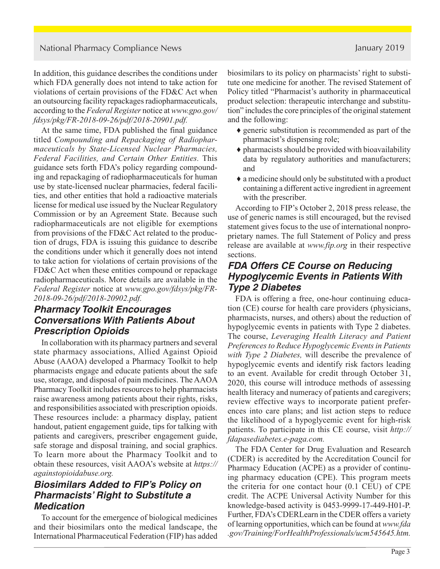In addition, this guidance describes the conditions under which FDA generally does not intend to take action for violations of certain provisions of the FD&C Act when an outsourcing facility repackages radiopharmaceuticals, according to the *Federal Register* notice at *[www.gpo.gov/](https://www.govinfo.gov/content/pkg/FR-2018-09-26/pdf/2018-20901.pdf) [fdsys/pkg/FR-2018-09-26/pdf/2018-20901.pdf.](https://www.govinfo.gov/content/pkg/FR-2018-09-26/pdf/2018-20901.pdf)* 

At the same time, FDA published the final guidance titled *Compounding and Repackaging of Radiopharmaceuticals by State-Licensed Nuclear Pharmacies, Federal Facilities, and Certain Other Entities.* This guidance sets forth FDA's policy regarding compounding and repackaging of radiopharmaceuticals for human use by state-licensed nuclear pharmacies, federal facilities, and other entities that hold a radioactive materials license for medical use issued by the Nuclear Regulatory Commission or by an Agreement State. Because such radiopharmaceuticals are not eligible for exemptions from provisions of the FD&C Act related to the production of drugs, FDA is issuing this guidance to describe the conditions under which it generally does not intend to take action for violations of certain provisions of the FD&C Act when these entities compound or repackage radiopharmaceuticals. More details are available in the *Federal Register* notice at *[www.gpo.gov/fdsys/pkg/FR-](https://www.govinfo.gov/content/pkg/FR-2018-09-26/pdf/2018-20902.pdf)[2018-09-26/pdf/2018-20902.pdf.](https://www.govinfo.gov/content/pkg/FR-2018-09-26/pdf/2018-20902.pdf)*

## *Pharmacy Toolkit Encourages Conversations With Patients About Prescription Opioids*

In collaboration with its pharmacy partners and several state pharmacy associations, Allied Against Opioid Abuse (AAOA) developed a Pharmacy Toolkit to help pharmacists engage and educate patients about the safe use, storage, and disposal of pain medicines. The AAOA Pharmacy Toolkit includes resources to help pharmacists raise awareness among patients about their rights, risks, and responsibilities associated with prescription opioids. These resources include: a pharmacy display, patient handout, patient engagement guide, tips for talking with patients and caregivers, prescriber engagement guide, safe storage and disposal training, and social graphics. To learn more about the Pharmacy Toolkit and to obtain these resources, visit AAOA's website at *[https://](https://againstopioidabuse.org/) [againstopioidabuse.org.](https://againstopioidabuse.org/)*

# *Biosimilars Added to FIP's Policy on Pharmacists' Right to Substitute a Medication*

To account for the emergence of biological medicines and their biosimilars onto the medical landscape, the International Pharmaceutical Federation (FIP) has added biosimilars to its policy on pharmacists' right to substitute one medicine for another. The revised Statement of Policy titled "Pharmacist's authority in pharmaceutical product selection: therapeutic interchange and substitution" includes the core principles of the original statement and the following:

- ♦ generic substitution is recommended as part of the pharmacist's dispensing role;
- ♦ pharmacists should be provided with bioavailability data by regulatory authorities and manufacturers; and
- ♦ a medicine should only be substituted with a product containing a different active ingredient in agreement with the prescriber.

According to FIP's October 2, 2018 press release, the use of generic names is still encouraged, but the revised statement gives focus to the use of international nonproprietary names. The full Statement of Policy and press release are available at *[www.fip.org](https://www.fip.org/)* in their respective sections.

# *FDA Offers CE Course on Reducing Hypoglycemic Events in Patients With Type 2 Diabetes*

FDA is offering a free, one-hour continuing education (CE) course for health care providers (physicians, pharmacists, nurses, and others) about the reduction of hypoglycemic events in patients with Type 2 diabetes. The course, *Leveraging Health Literacy and Patient Preferences to Reduce Hypoglycemic Events in Patients with Type 2 Diabetes,* will describe the prevalence of hypoglycemic events and identify risk factors leading to an event. Available for credit through October 31, 2020, this course will introduce methods of assessing health literacy and numeracy of patients and caregivers; review effective ways to incorporate patient preferences into care plans; and list action steps to reduce the likelihood of a hypoglycemic event for high-risk patients. To participate in this CE course, visit *[http://](http://fdapasediabetes.e-paga.com/) [fdapasediabetes.e-paga.com.](http://fdapasediabetes.e-paga.com/)* 

The FDA Center for Drug Evaluation and Research (CDER) is accredited by the Accreditation Council for Pharmacy Education (ACPE) as a provider of continuing pharmacy education (CPE). This program meets the criteria for one contact hour (0.1 CEU) of CPE credit. The ACPE Universal Activity Number for this knowledge-based activity is 0453-9999-17-449-H01-P. Further, FDA's CDERLearn in the CDER offers a variety of learning opportunities, which can be found at *[www.fda](https://www.fda.gov/Training/ForHealthProfessionals/ucm545645.htm) [.gov/Training/ForHealthProfessionals/ucm545645.htm.](https://www.fda.gov/Training/ForHealthProfessionals/ucm545645.htm)*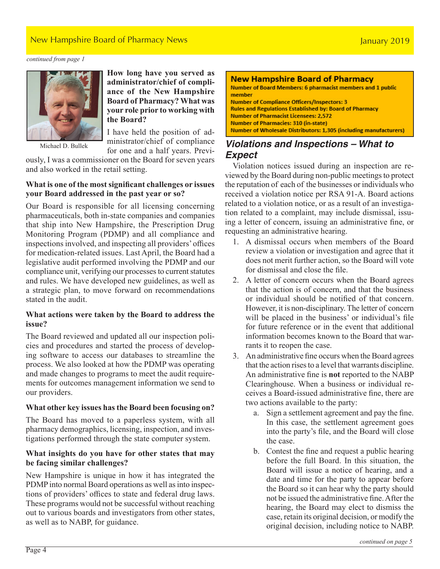### New Hampshire Board of Pharmacy News January 2019

*continued from page 1*



Michael D. Bullek

**How long have you served as administrator/chief of compliance of the New Hampshire Board of Pharmacy? What was your role prior to working with the Board?**

I have held the position of administrator/chief of compliance for one and a half years. Previ-

ously, I was a commissioner on the Board for seven years and also worked in the retail setting.

#### **What is one of the most significant challenges or issues your Board addressed in the past year or so?**

Our Board is responsible for all licensing concerning pharmaceuticals, both in-state companies and companies that ship into New Hampshire, the Prescription Drug Monitoring Program (PDMP) and all compliance and inspections involved, and inspecting all providers' offices for medication-related issues. Last April, the Board had a legislative audit performed involving the PDMP and our compliance unit, verifying our processes to current statutes and rules. We have developed new guidelines, as well as a strategic plan, to move forward on recommendations stated in the audit.

#### **What actions were taken by the Board to address the issue?**

The Board reviewed and updated all our inspection policies and procedures and started the process of developing software to access our databases to streamline the process. We also looked at how the PDMP was operating and made changes to programs to meet the audit requirements for outcomes management information we send to our providers.

#### **What other key issues has the Board been focusing on?**

The Board has moved to a paperless system, with all pharmacy demographics, licensing, inspection, and investigations performed through the state computer system.

#### **What insights do you have for other states that may be facing similar challenges?**

New Hampshire is unique in how it has integrated the PDMP into normal Board operations as well as into inspections of providers' offices to state and federal drug laws. These programs would not be successful without reaching out to various boards and investigators from other states, as well as to NABP, for guidance.

#### **New Hampshire Board of Pharmacy**

Number of Board Members: 6 pharmacist members and 1 public member **Number of Compliance Officers/Inspectors: 3 Rules and Regulations Established by: Board of Pharmacy Number of Pharmacist Licensees: 2,572 Number of Pharmacies: 310 (in-state) Number of Wholesale Distributors: 1,305 (including manufacturers)** 

# *Violations and Inspections – What to Expect*

Violation notices issued during an inspection are reviewed by the Board during non-public meetings to protect the reputation of each of the businesses or individuals who received a violation notice per RSA 91-A. Board actions related to a violation notice, or as a result of an investigation related to a complaint, may include dismissal, issuing a letter of concern, issuing an administrative fine, or requesting an administrative hearing.

- 1. A dismissal occurs when members of the Board review a violation or investigation and agree that it does not merit further action, so the Board will vote for dismissal and close the file.
- 2. A letter of concern occurs when the Board agrees that the action is of concern, and that the business or individual should be notified of that concern. However, it is non-disciplinary. The letter of concern will be placed in the business' or individual's file for future reference or in the event that additional information becomes known to the Board that warrants it to reopen the case.
- 3. An administrative fine occurs when the Board agrees that the action rises to a level that warrants discipline. An administrative fine is **not** reported to the NABP Clearinghouse. When a business or individual receives a Board-issued administrative fine, there are two actions available to the party:
	- a. Sign a settlement agreement and pay the fine. In this case, the settlement agreement goes into the party's file, and the Board will close the case.
	- b. Contest the fine and request a public hearing before the full Board. In this situation, the Board will issue a notice of hearing, and a date and time for the party to appear before the Board so it can hear why the party should not be issued the administrative fine. After the hearing, the Board may elect to dismiss the case, retain its original decision, or modify the original decision, including notice to NABP.